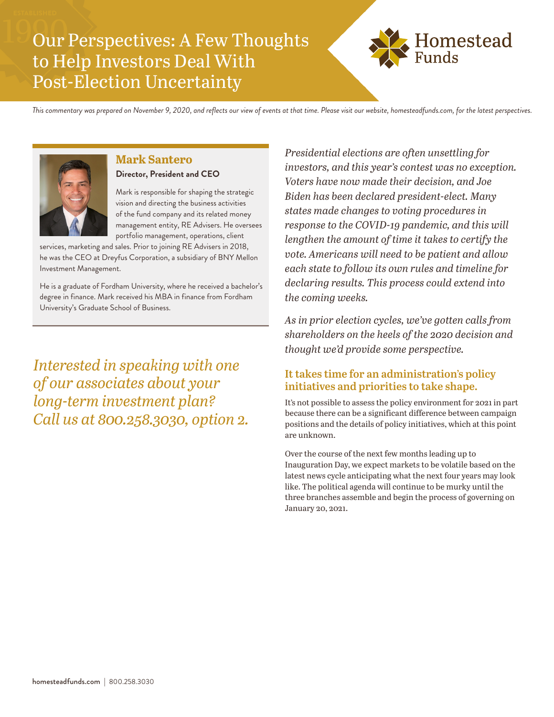# Our Perspectives: A Few Thoughts to Help Investors Deal With Post-Election Uncertainty



*This commentary was prepared on November 9, 2020, and reflects our view of events at that time. Please visit our website, homesteadfunds.com, for the latest perspectives.*



## **Mark Santero**

**Director, President and CEO**

Mark is responsible for shaping the strategic vision and directing the business activities of the fund company and its related money management entity, RE Advisers. He oversees portfolio management, operations, client

services, marketing and sales. Prior to joining RE Advisers in 2018, he was the CEO at Dreyfus Corporation, a subsidiary of BNY Mellon Investment Management.

He is a graduate of Fordham University, where he received a bachelor's degree in finance. Mark received his MBA in finance from Fordham University's Graduate School of Business.

*Interested in speaking with one of our associates about your long-term investment plan? Call us at 800.258.3030, option 2.* *Presidential elections are often unsettling for investors, and this year's contest was no exception. Voters have now made their decision, and Joe Biden has been declared president-elect. Many states made changes to voting procedures in response to the COVID-19 pandemic, and this will lengthen the amount of time it takes to certify the vote. Americans will need to be patient and allow each state to follow its own rules and timeline for declaring results. This process could extend into the coming weeks.*

*As in prior election cycles, we've gotten calls from shareholders on the heels of the 2020 decision and thought we'd provide some perspective.*

### **It takes time for an administration's policy initiatives and priorities to take shape.**

It's not possible to assess the policy environment for 2021 in part because there can be a significant difference between campaign positions and the details of policy initiatives, which at this point are unknown.

Over the course of the next few months leading up to Inauguration Day, we expect markets to be volatile based on the latest news cycle anticipating what the next four years may look like. The political agenda will continue to be murky until the three branches assemble and begin the process of governing on January 20, 2021.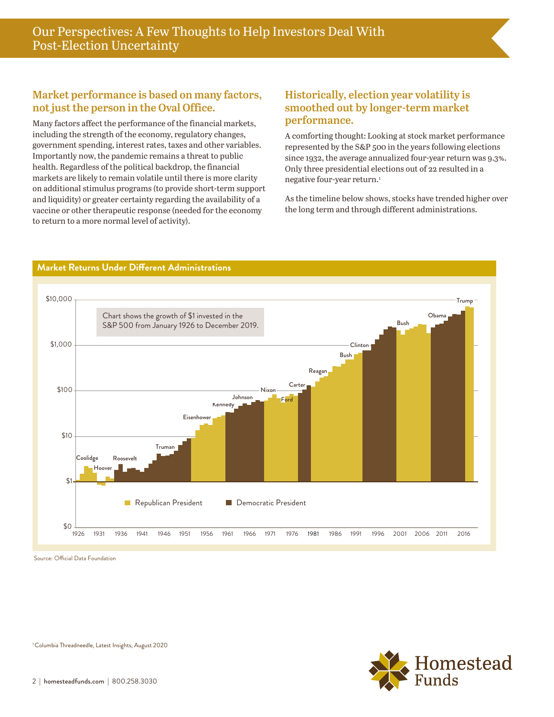### **Market performance is based on many factors, not just the person in the Oval Office.**

Many factors affect the performance of the financial markets, including the strength of the economy, regulatory changes, government spending, interest rates, taxes and other variables. Importantly now, the pandemic remains a threat to public health. Regardless of the political backdrop, the financial markets are likely to remain volatile until there is more clarity on additional stimulus programs (to provide short-term support and liquidity) or greater certainty regarding the availability of a vaccine or other therapeutic response (needed for the economy to return to a more normal level of activity).

### **Historically, election year volatility is smoothed out by longer-term market performance.**

A comforting thought: Looking at stock market performance represented by the S&P 500 in the years following elections since 1932, the average annualized four-year return was 9.3%. Only three presidential elections out of 22 resulted in a negative four-year return.<sup>1</sup>

As the timeline below shows, stocks have trended higher over the long term and through different administrations.



Source: Official Data Foundation

#### <sup>1</sup> Columbia Threadneedle, Latest Insights, August 2020